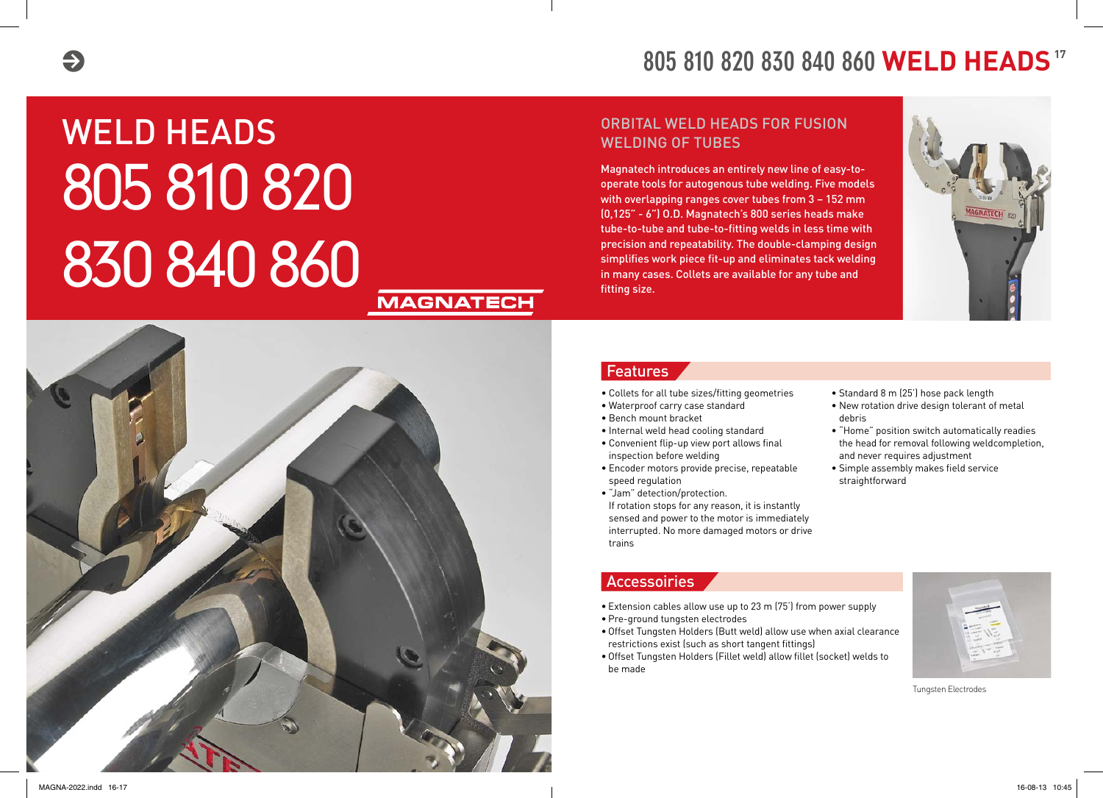

# WELD HEADS 805 810 820 830 840 860

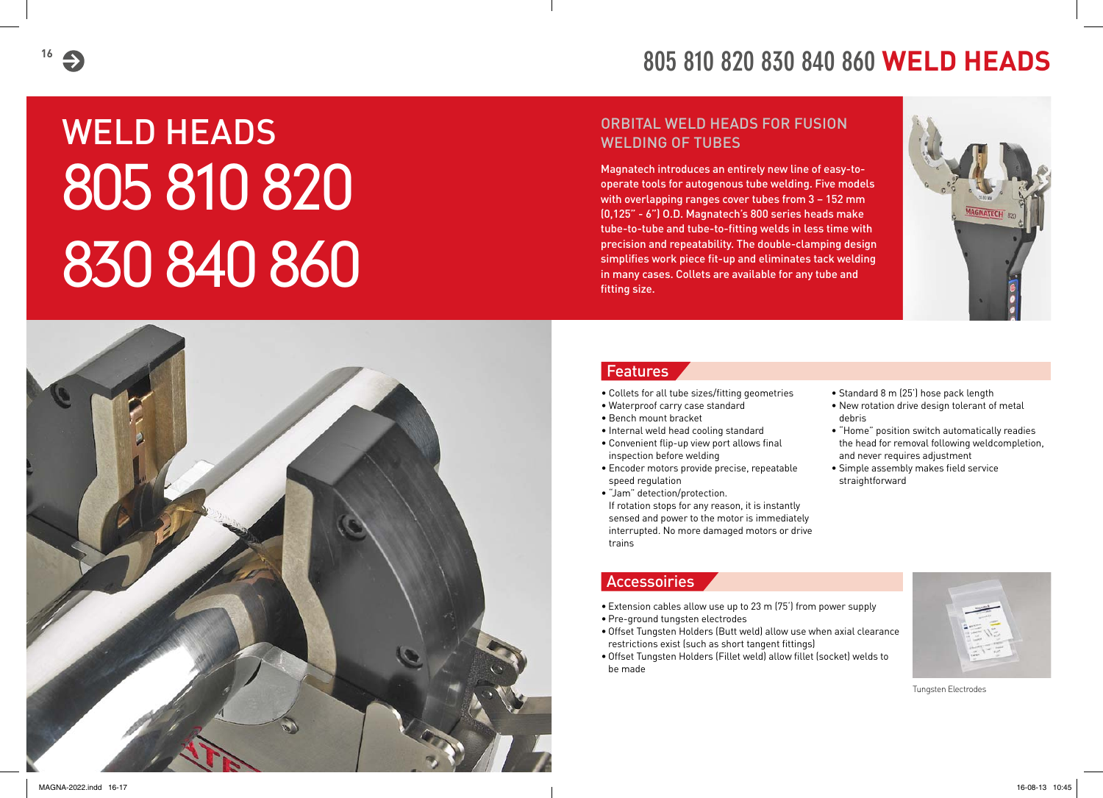## **805 810 820 830 840 860 WELD HEADS**

#### ORBITAL WELD HEADS FOR FUSION WELDING OF TUBES

Magnatech introduces an entirely new line of easy-tooperate tools for autogenous tube welding. Five models with overlapping ranges cover tubes from 3 – 152 mm (0,125" - 6") O.D. Magnatech's 800 series heads make tube-to-tube and tube-to-fitting welds in less time with precision and repeatability. The double-clamping design simplifies work piece fit-up and eliminates tack welding in many cases. Collets are available for any tube and fitting size.



#### Features

- Collets for all tube sizes/fitting geometries
- Waterproof carry case standard
- Bench mount bracket
- Internal weld head cooling standard
- Convenient flip-up view port allows final inspection before welding
- Encoder motors provide precise, repeatable speed regulation
- "Jam" detection/protection. If rotation stops for any reason, it is instantly sensed and power to the motor is immediately interrupted. No more damaged motors or drive trains
- Standard 8 m (25') hose pack length
- New rotation drive design tolerant of metal debris
- "Home" position switch automatically readies the head for removal following weldcompletion, and never requires adjustment
- Simple assembly makes field service straightforward

#### Accessoiries

- Extension cables allow use up to 23 m (75') from power supply
- • Pre-ground tungsten electrodes
- Offset Tungsten Holders (Butt weld) allow use when axial clearance restrictions exist (such as short tangent fittings)
- • Offset Tungsten Holders (Fillet weld) allow fillet (socket) welds to be made



Tungsten Electrodes